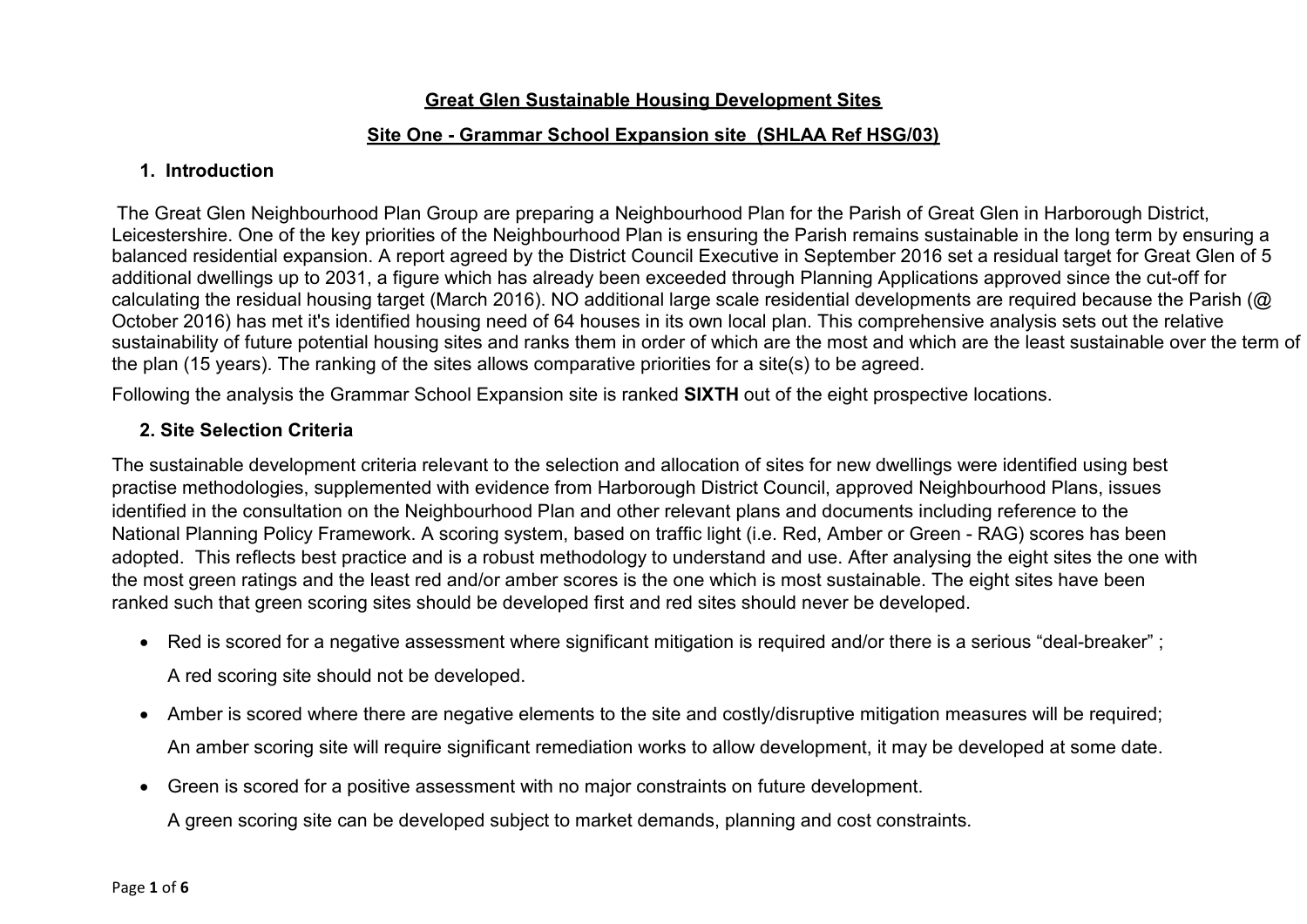## **Great Glen Sustainable Housing Development Sites**

## **Site One - Grammar School Expansion site (SHLAA Ref HSG/03)**

## **1. Introduction**

The Great Glen Neighbourhood Plan Group are preparing a Neighbourhood Plan for the Parish of Great Glen in Harborough District, Leicestershire. One of the key priorities of the Neighbourhood Plan is ensuring the Parish remains sustainable in the long term by ensuring a balanced residential expansion. A report agreed by the District Council Executive in September 2016 set a residual target for Great Glen of 5 additional dwellings up to 2031, a figure which has already been exceeded through Planning Applications approved since the cut-off for calculating the residual housing target (March 2016). NO additional large scale residential developments are required because the Parish (@ October 2016) has met it's identified housing need of 64 houses in its own local plan. This comprehensive analysis sets out the relative sustainability of future potential housing sites and ranks them in order of which are the most and which are the least sustainable over the term of the plan (15 years). The ranking of the sites allows comparative priorities for a site(s) to be agreed.

Following the analysis the Grammar School Expansion site is ranked **SIXTH** out of the eight prospective locations.

## **2. Site Selection Criteria**

The sustainable development criteria relevant to the selection and allocation of sites for new dwellings were identified using best practise methodologies, supplemented with evidence from Harborough District Council, approved Neighbourhood Plans, issues identified in the consultation on the Neighbourhood Plan and other relevant plans and documents including reference to the National Planning Policy Framework. A scoring system, based on traffic light (i.e. Red, Amber or Green - RAG) scores has been adopted. This reflects best practice and is a robust methodology to understand and use. After analysing the eight sites the one with the most green ratings and the least red and/or amber scores is the one which is most sustainable. The eight sites have been ranked such that green scoring sites should be developed first and red sites should never be developed.

• Red is scored for a negative assessment where significant mitigation is required and/or there is a serious "deal-breaker" ;

A red scoring site should not be developed.

- Amber is scored where there are negative elements to the site and costly/disruptive mitigation measures will be required; An amber scoring site will require significant remediation works to allow development, it may be developed at some date.
- Green is scored for a positive assessment with no major constraints on future development.

A green scoring site can be developed subject to market demands, planning and cost constraints.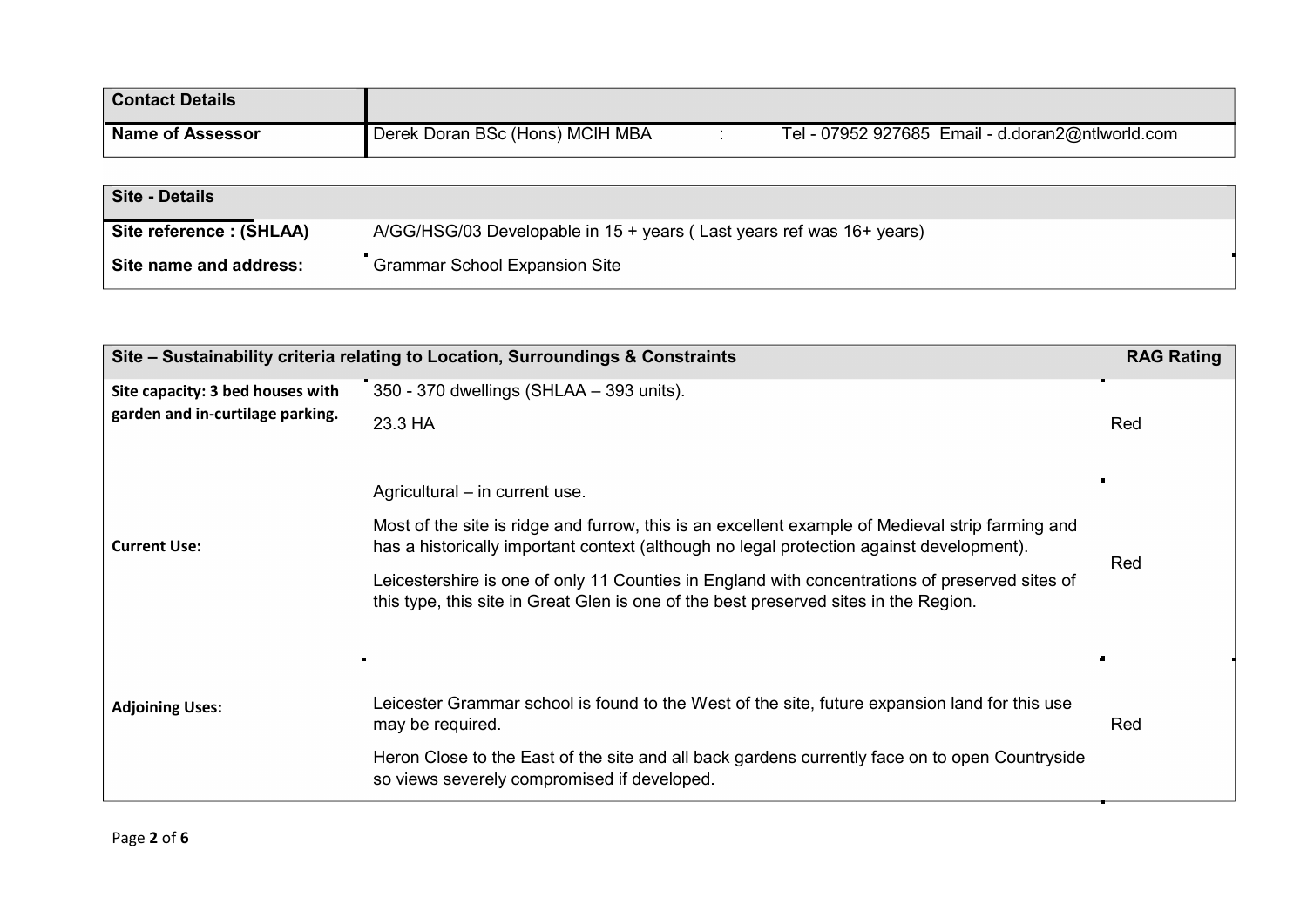| <b>Contact Details</b>  |                                 |                                                  |
|-------------------------|---------------------------------|--------------------------------------------------|
| <b>Name of Assessor</b> | Derek Doran BSc (Hons) MCIH MBA | Tel - 07952 927685 Email - d.doran2@ntlworld.com |
|                         |                                 |                                                  |

| <b>Site - Details</b>   |                                                                        |
|-------------------------|------------------------------------------------------------------------|
| Site reference: (SHLAA) | $A/GG/HSG/03$ Developable in 15 + years (Last years ref was 16+ years) |
| Site name and address:  | <b>Grammar School Expansion Site</b>                                   |

| Site - Sustainability criteria relating to Location, Surroundings & Constraints |                                                                                                                                                                                              |     |
|---------------------------------------------------------------------------------|----------------------------------------------------------------------------------------------------------------------------------------------------------------------------------------------|-----|
| Site capacity: 3 bed houses with<br>garden and in-curtilage parking.            | 350 - 370 dwellings (SHLAA - 393 units).<br>23.3 HA                                                                                                                                          | Red |
|                                                                                 | Agricultural – in current use.                                                                                                                                                               |     |
| <b>Current Use:</b>                                                             | Most of the site is ridge and furrow, this is an excellent example of Medieval strip farming and<br>has a historically important context (although no legal protection against development). | Red |
|                                                                                 | Leicestershire is one of only 11 Counties in England with concentrations of preserved sites of<br>this type, this site in Great Glen is one of the best preserved sites in the Region.       |     |
|                                                                                 | $\blacksquare$                                                                                                                                                                               |     |
| <b>Adjoining Uses:</b>                                                          | Leicester Grammar school is found to the West of the site, future expansion land for this use<br>may be required.                                                                            | Red |
|                                                                                 | Heron Close to the East of the site and all back gardens currently face on to open Countryside<br>so views severely compromised if developed.                                                |     |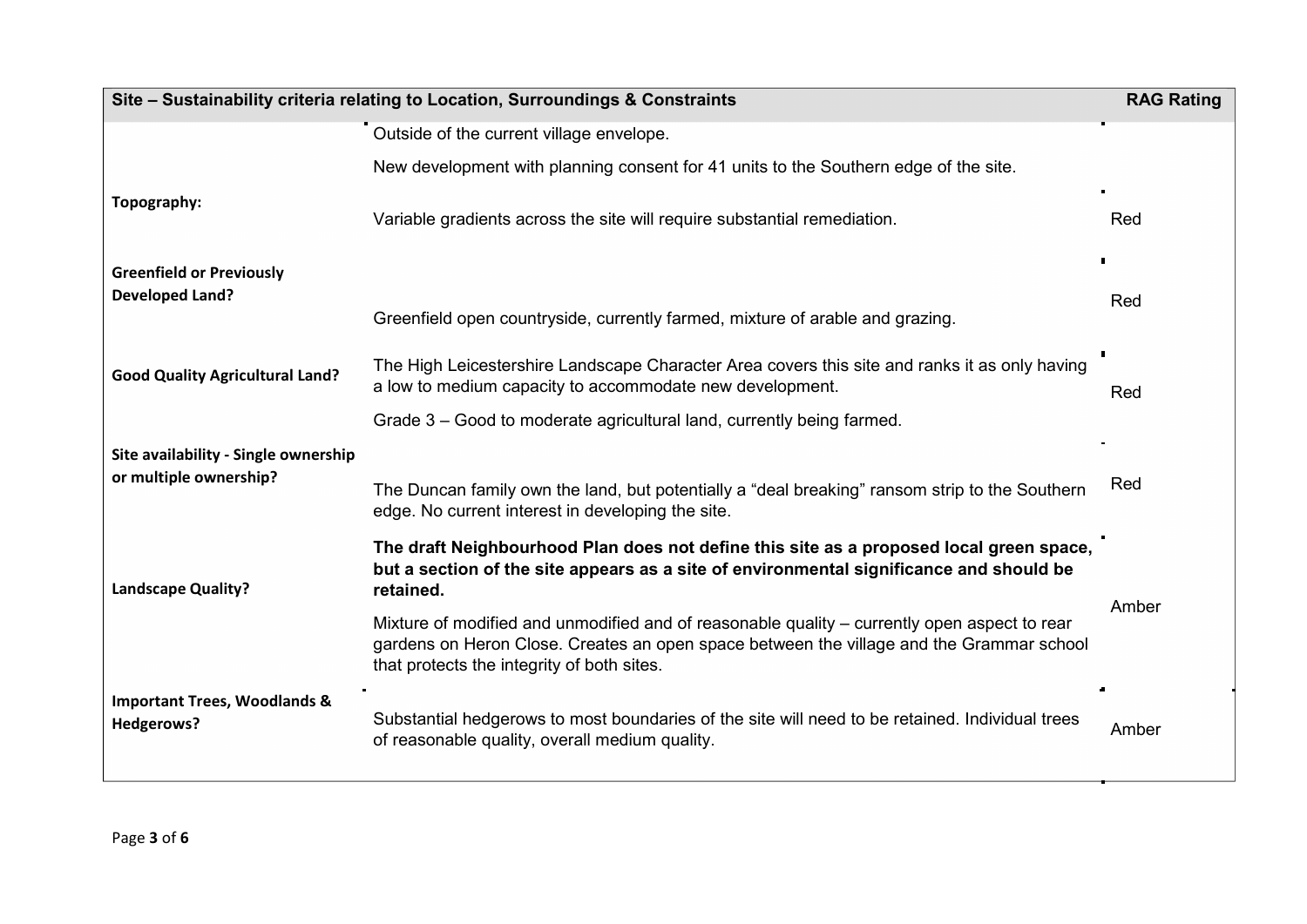| Site - Sustainability criteria relating to Location, Surroundings & Constraints |                                                                                                                                                                                                                                        | <b>RAG Rating</b> |
|---------------------------------------------------------------------------------|----------------------------------------------------------------------------------------------------------------------------------------------------------------------------------------------------------------------------------------|-------------------|
|                                                                                 | Outside of the current village envelope.                                                                                                                                                                                               |                   |
|                                                                                 | New development with planning consent for 41 units to the Southern edge of the site.                                                                                                                                                   |                   |
| Topography:                                                                     | Variable gradients across the site will require substantial remediation.                                                                                                                                                               | Red               |
| <b>Greenfield or Previously</b>                                                 |                                                                                                                                                                                                                                        | $\blacksquare$    |
| <b>Developed Land?</b>                                                          | Greenfield open countryside, currently farmed, mixture of arable and grazing.                                                                                                                                                          | Red               |
| <b>Good Quality Agricultural Land?</b>                                          | The High Leicestershire Landscape Character Area covers this site and ranks it as only having<br>a low to medium capacity to accommodate new development.                                                                              | Red               |
|                                                                                 | Grade 3 – Good to moderate agricultural land, currently being farmed.                                                                                                                                                                  |                   |
| Site availability - Single ownership                                            |                                                                                                                                                                                                                                        |                   |
| or multiple ownership?                                                          | The Duncan family own the land, but potentially a "deal breaking" ransom strip to the Southern<br>edge. No current interest in developing the site.                                                                                    | Red               |
| <b>Landscape Quality?</b>                                                       | The draft Neighbourhood Plan does not define this site as a proposed local green space,<br>but a section of the site appears as a site of environmental significance and should be<br>retained.                                        |                   |
|                                                                                 | Mixture of modified and unmodified and of reasonable quality – currently open aspect to rear<br>gardens on Heron Close. Creates an open space between the village and the Grammar school<br>that protects the integrity of both sites. | Amber             |
| <b>Important Trees, Woodlands &amp;</b><br>Hedgerows?                           | Substantial hedgerows to most boundaries of the site will need to be retained. Individual trees<br>of reasonable quality, overall medium quality.                                                                                      | Amber             |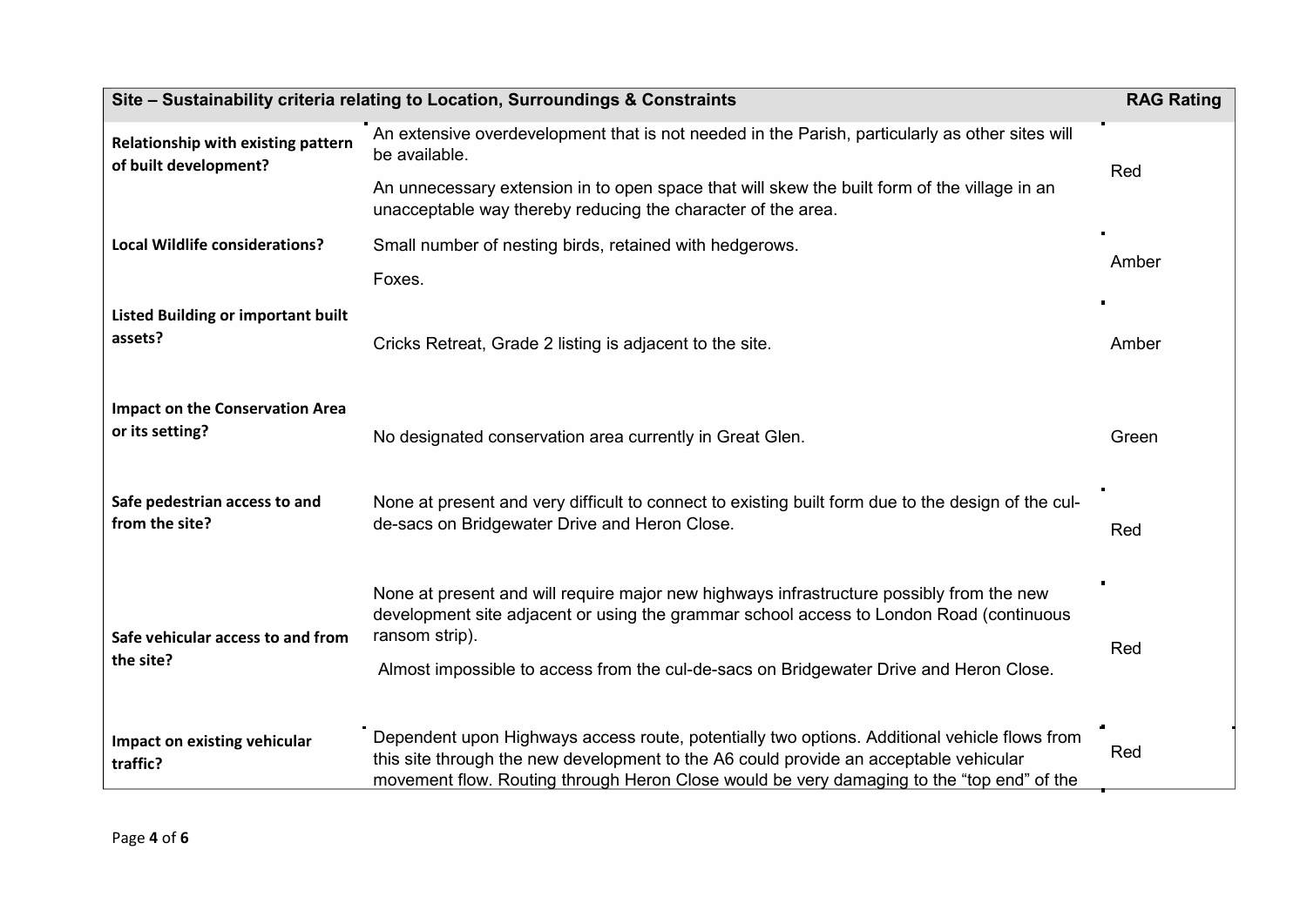| Site - Sustainability criteria relating to Location, Surroundings & Constraints |                                                                                                                                                                                                                                                                                                 | <b>RAG Rating</b> |
|---------------------------------------------------------------------------------|-------------------------------------------------------------------------------------------------------------------------------------------------------------------------------------------------------------------------------------------------------------------------------------------------|-------------------|
| Relationship with existing pattern<br>of built development?                     | An extensive overdevelopment that is not needed in the Parish, particularly as other sites will<br>be available.                                                                                                                                                                                | Red               |
|                                                                                 | An unnecessary extension in to open space that will skew the built form of the village in an<br>unacceptable way thereby reducing the character of the area.                                                                                                                                    |                   |
| <b>Local Wildlife considerations?</b>                                           | Small number of nesting birds, retained with hedgerows.                                                                                                                                                                                                                                         | Amber             |
|                                                                                 | Foxes.                                                                                                                                                                                                                                                                                          |                   |
| <b>Listed Building or important built</b><br>assets?                            | Cricks Retreat, Grade 2 listing is adjacent to the site.                                                                                                                                                                                                                                        | Amber             |
| <b>Impact on the Conservation Area</b><br>or its setting?                       | No designated conservation area currently in Great Glen.                                                                                                                                                                                                                                        | Green             |
| Safe pedestrian access to and<br>from the site?                                 | None at present and very difficult to connect to existing built form due to the design of the cul-<br>de-sacs on Bridgewater Drive and Heron Close.                                                                                                                                             | Red               |
| Safe vehicular access to and from<br>the site?                                  | None at present and will require major new highways infrastructure possibly from the new<br>development site adjacent or using the grammar school access to London Road (continuous<br>ransom strip).<br>Almost impossible to access from the cul-de-sacs on Bridgewater Drive and Heron Close. | Red               |
| Impact on existing vehicular<br>traffic?                                        | Dependent upon Highways access route, potentially two options. Additional vehicle flows from<br>this site through the new development to the A6 could provide an acceptable vehicular<br>movement flow. Routing through Heron Close would be very damaging to the "top end" of the              | Red               |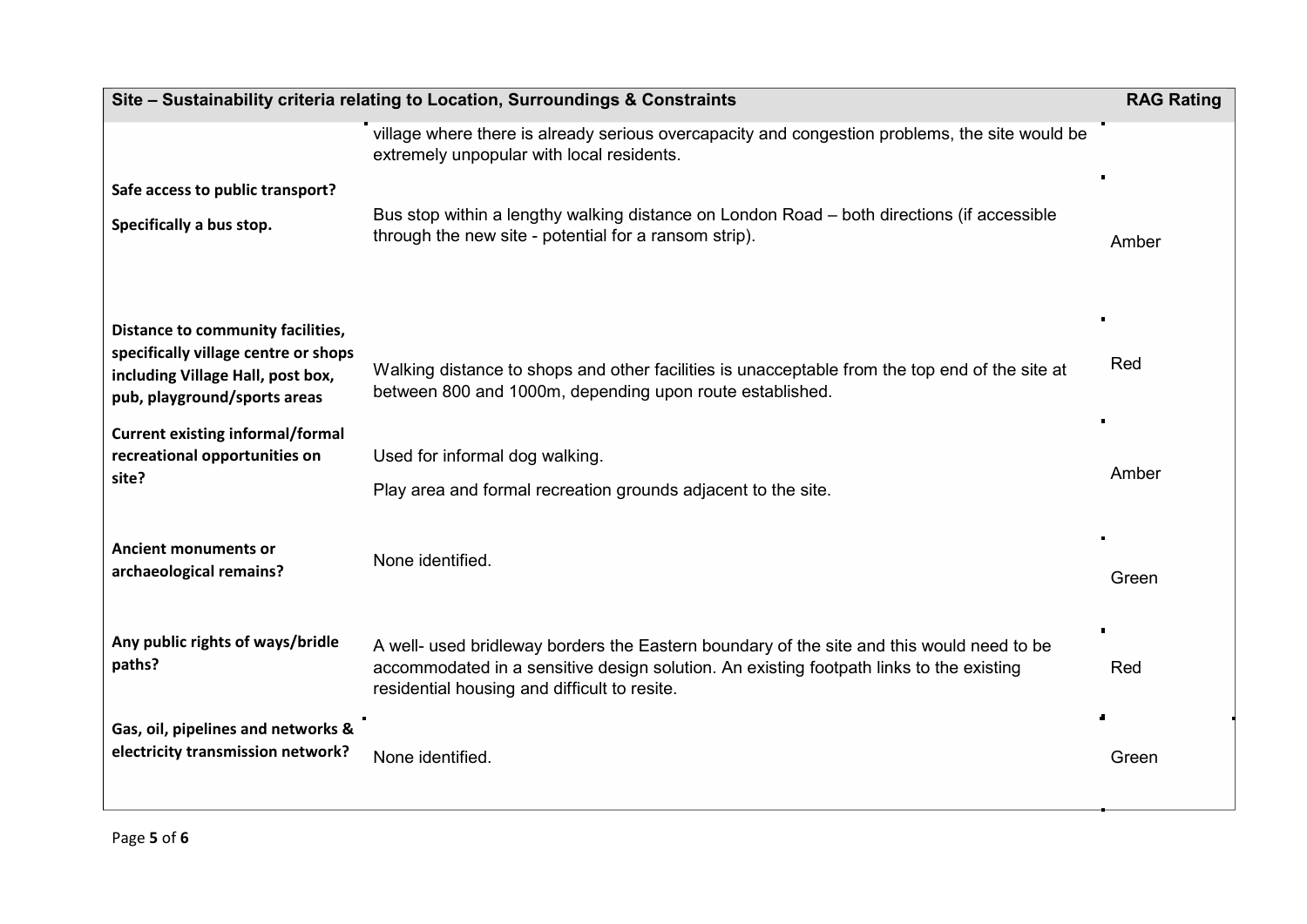| Site - Sustainability criteria relating to Location, Surroundings & Constraints                                                                |                                                                                                                                                                                                                                      | <b>RAG Rating</b> |
|------------------------------------------------------------------------------------------------------------------------------------------------|--------------------------------------------------------------------------------------------------------------------------------------------------------------------------------------------------------------------------------------|-------------------|
|                                                                                                                                                | village where there is already serious overcapacity and congestion problems, the site would be<br>extremely unpopular with local residents.                                                                                          |                   |
| Safe access to public transport?<br>Specifically a bus stop.                                                                                   | Bus stop within a lengthy walking distance on London Road - both directions (if accessible<br>through the new site - potential for a ransom strip).                                                                                  | Amber             |
| Distance to community facilities,<br>specifically village centre or shops<br>including Village Hall, post box,<br>pub, playground/sports areas | Walking distance to shops and other facilities is unacceptable from the top end of the site at<br>between 800 and 1000m, depending upon route established.                                                                           | Red               |
| <b>Current existing informal/formal</b><br>recreational opportunities on<br>site?                                                              | Used for informal dog walking.<br>Play area and formal recreation grounds adjacent to the site.                                                                                                                                      | Amber             |
| <b>Ancient monuments or</b><br>archaeological remains?                                                                                         | None identified.                                                                                                                                                                                                                     | Green             |
| Any public rights of ways/bridle<br>paths?                                                                                                     | A well- used bridleway borders the Eastern boundary of the site and this would need to be<br>accommodated in a sensitive design solution. An existing footpath links to the existing<br>residential housing and difficult to resite. | Red               |
| Gas, oil, pipelines and networks &<br>electricity transmission network?                                                                        | None identified.                                                                                                                                                                                                                     | Green             |